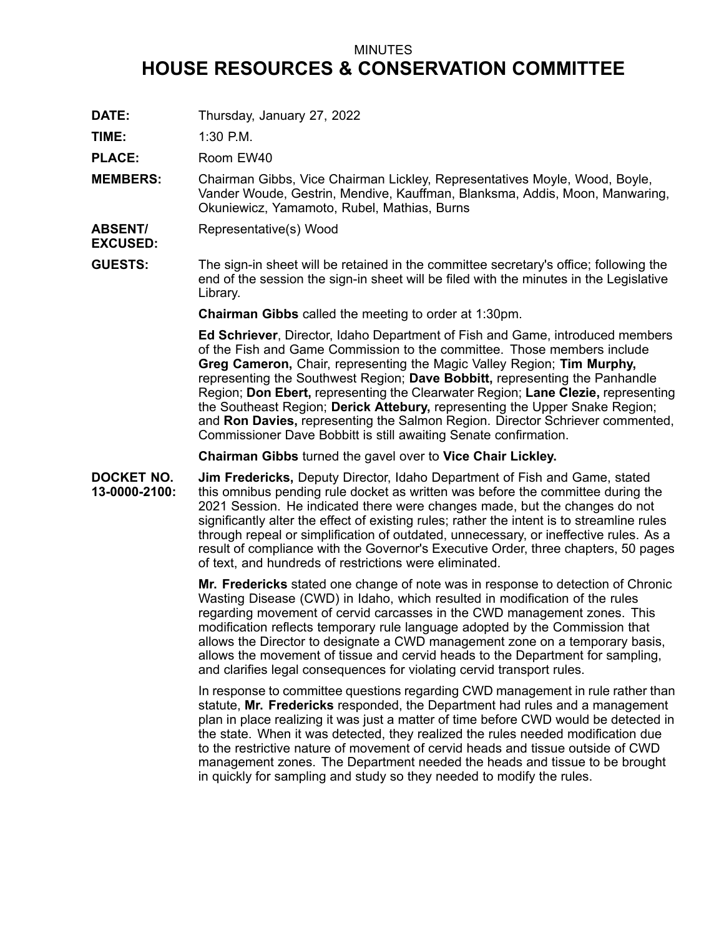## MINUTES

## **HOUSE RESOURCES & CONSERVATION COMMITTEE**

**DATE:** Thursday, January 27, 2022

**TIME:** 1:30 P.M.

PLACE: Room EW40

- **MEMBERS:** Chairman Gibbs, Vice Chairman Lickley, Representatives Moyle, Wood, Boyle, Vander Woude, Gestrin, Mendive, Kauffman, Blanksma, Addis, Moon, Manwaring, Okuniewicz, Yamamoto, Rubel, Mathias, Burns
- **ABSENT/** Representative(s) Wood
- **EXCUSED:**
- **GUESTS:** The sign-in sheet will be retained in the committee secretary's office; following the end of the session the sign-in sheet will be filed with the minutes in the Legislative Library.

**Chairman Gibbs** called the meeting to order at 1:30pm.

**Ed Schriever**, Director, Idaho Department of Fish and Game, introduced members of the Fish and Game Commission to the committee. Those members include **Greg Cameron,** Chair, representing the Magic Valley Region; **Tim Murphy,** representing the Southwest Region; **Dave Bobbitt,** representing the Panhandle Region; **Don Ebert,** representing the Clearwater Region; **Lane Clezie,** representing the Southeast Region; **Derick Attebury,** representing the Upper Snake Region; and **Ron Davies,** representing the Salmon Region. Director Schriever commented, Commissioner Dave Bobbitt is still awaiting Senate confirmation.

**Chairman Gibbs** turned the gavel over to **Vice Chair Lickley.**

**DOCKET NO. 13-0000-2100: Jim Fredericks,** Deputy Director, Idaho Department of Fish and Game, stated this omnibus pending rule docket as written was before the committee during the 2021 Session. He indicated there were changes made, but the changes do not significantly alter the effect of existing rules; rather the intent is to streamline rules through repeal or simplification of outdated, unnecessary, or ineffective rules. As <sup>a</sup> result of compliance with the Governor's Executive Order, three chapters, 50 pages of text, and hundreds of restrictions were eliminated.

> **Mr. Fredericks** stated one change of note was in response to detection of Chronic Wasting Disease (CWD) in Idaho, which resulted in modification of the rules regarding movement of cervid carcasses in the CWD management zones. This modification reflects temporary rule language adopted by the Commission that allows the Director to designate <sup>a</sup> CWD management zone on <sup>a</sup> temporary basis, allows the movement of tissue and cervid heads to the Department for sampling, and clarifies legal consequences for violating cervid transport rules.

> In response to committee questions regarding CWD management in rule rather than statute, **Mr. Fredericks** responded, the Department had rules and <sup>a</sup> management plan in place realizing it was just <sup>a</sup> matter of time before CWD would be detected in the state. When it was detected, they realized the rules needed modification due to the restrictive nature of movement of cervid heads and tissue outside of CWD management zones. The Department needed the heads and tissue to be brought in quickly for sampling and study so they needed to modify the rules.